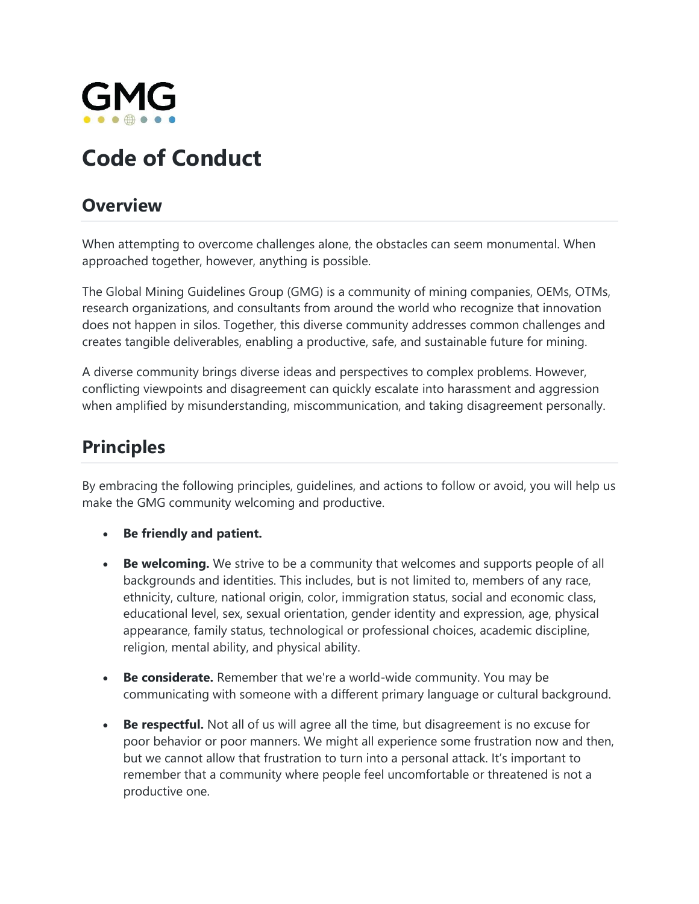

# **Code of Conduct**

#### **Overview**

When attempting to overcome challenges alone, the obstacles can seem monumental. When approached together, however, anything is possible.

The Global Mining Guidelines Group (GMG) is a community of mining companies, OEMs, OTMs, research organizations, and consultants from around the world who recognize that innovation does not happen in silos. Together, this diverse community addresses common challenges and creates tangible deliverables, enabling a productive, safe, and sustainable future for mining.

A diverse community brings diverse ideas and perspectives to complex problems. However, conflicting viewpoints and disagreement can quickly escalate into harassment and aggression when amplified by misunderstanding, miscommunication, and taking disagreement personally.

### **Principles**

By embracing the following principles, guidelines, and actions to follow or avoid, you will help us make the GMG community welcoming and productive.

- **Be friendly and patient.**
- **Be welcoming.** We strive to be a community that welcomes and supports people of all backgrounds and identities. This includes, but is not limited to, members of any race, ethnicity, culture, national origin, color, immigration status, social and economic class, educational level, sex, sexual orientation, gender identity and expression, age, physical appearance, family status, technological or professional choices, academic discipline, religion, mental ability, and physical ability.
- **Be considerate.** Remember that we're a world-wide community. You may be communicating with someone with a different primary language or cultural background.
- **Be respectful.** Not all of us will agree all the time, but disagreement is no excuse for poor behavior or poor manners. We might all experience some frustration now and then, but we cannot allow that frustration to turn into a personal attack. It's important to remember that a community where people feel uncomfortable or threatened is not a productive one.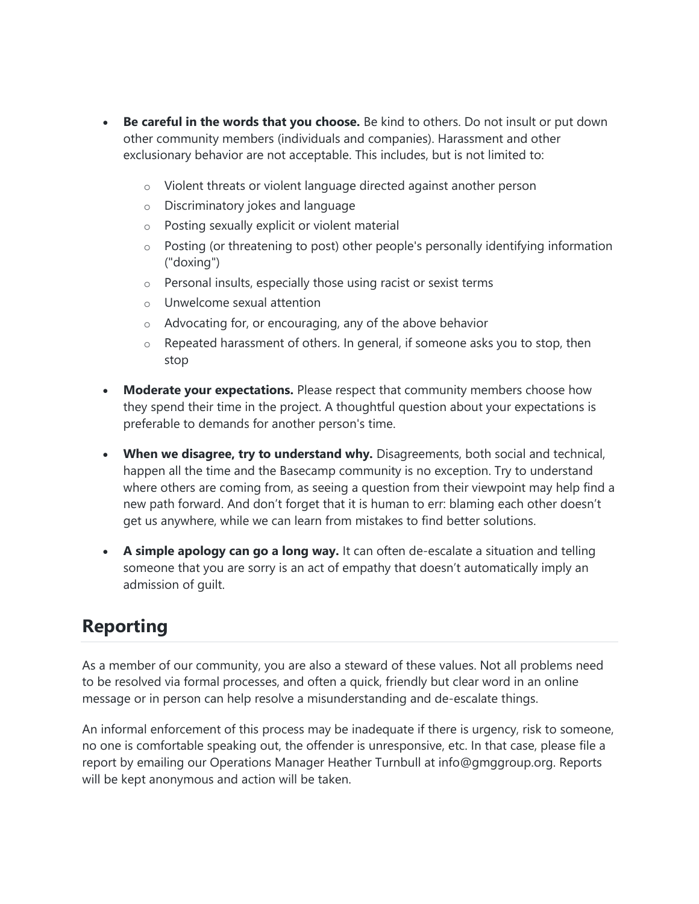- **Be careful in the words that you choose.** Be kind to others. Do not insult or put down other community members (individuals and companies). Harassment and other exclusionary behavior are not acceptable. This includes, but is not limited to:
	- o Violent threats or violent language directed against another person
	- o Discriminatory jokes and language
	- o Posting sexually explicit or violent material
	- o Posting (or threatening to post) other people's personally identifying information ("doxing")
	- o Personal insults, especially those using racist or sexist terms
	- o Unwelcome sexual attention
	- o Advocating for, or encouraging, any of the above behavior
	- $\circ$  Repeated harassment of others. In general, if someone asks you to stop, then stop
- **Moderate your expectations.** Please respect that community members choose how they spend their time in the project. A thoughtful question about your expectations is preferable to demands for another person's time.
- **When we disagree, try to understand why.** Disagreements, both social and technical, happen all the time and the Basecamp community is no exception. Try to understand where others are coming from, as seeing a question from their viewpoint may help find a new path forward. And don't forget that it is human to err: blaming each other doesn't get us anywhere, while we can learn from mistakes to find better solutions.
- **A simple apology can go a long way.** It can often de-escalate a situation and telling someone that you are sorry is an act of empathy that doesn't automatically imply an admission of guilt.

# **Reporting**

As a member of our community, you are also a steward of these values. Not all problems need to be resolved via formal processes, and often a quick, friendly but clear word in an online message or in person can help resolve a misunderstanding and de-escalate things.

An informal enforcement of this process may be inadequate if there is urgency, risk to someone, no one is comfortable speaking out, the offender is unresponsive, etc. In that case, please file a report by emailing our Operations Manager Heather Turnbull at info@gmggroup.org. Reports will be kept anonymous and action will be taken.